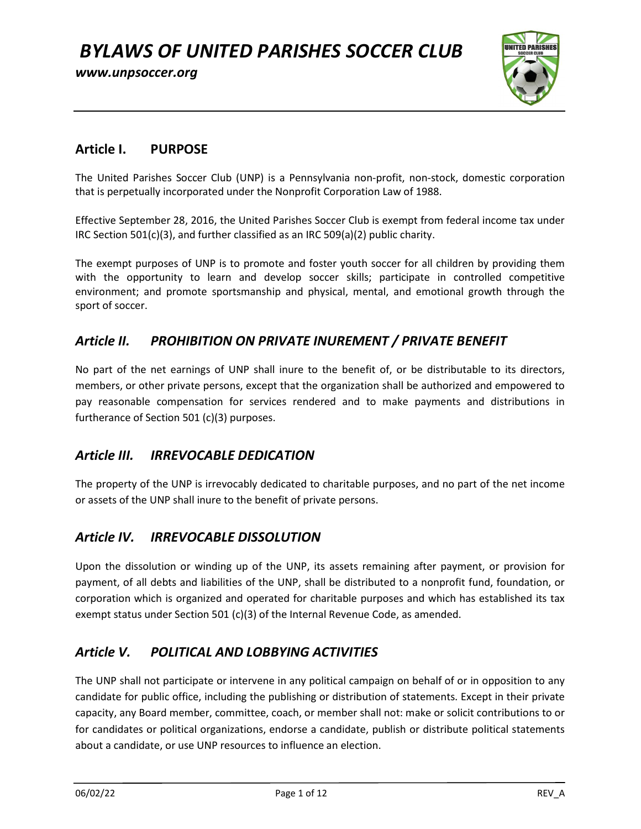www.unpsoccer.org



### Article I. PURPOSE

The United Parishes Soccer Club (UNP) is a Pennsylvania non-profit, non-stock, domestic corporation that is perpetually incorporated under the Nonprofit Corporation Law of 1988.

Effective September 28, 2016, the United Parishes Soccer Club is exempt from federal income tax under IRC Section 501(c)(3), and further classified as an IRC 509(a)(2) public charity.

The exempt purposes of UNP is to promote and foster youth soccer for all children by providing them with the opportunity to learn and develop soccer skills; participate in controlled competitive environment; and promote sportsmanship and physical, mental, and emotional growth through the sport of soccer.

## Article II. PROHIBITION ON PRIVATE INUREMENT / PRIVATE BENEFIT

No part of the net earnings of UNP shall inure to the benefit of, or be distributable to its directors, members, or other private persons, except that the organization shall be authorized and empowered to pay reasonable compensation for services rendered and to make payments and distributions in furtherance of Section 501 (c)(3) purposes.

### Article III. IRREVOCABLE DEDICATION

The property of the UNP is irrevocably dedicated to charitable purposes, and no part of the net income or assets of the UNP shall inure to the benefit of private persons.

### Article IV. IRREVOCABLE DISSOLUTION

Upon the dissolution or winding up of the UNP, its assets remaining after payment, or provision for payment, of all debts and liabilities of the UNP, shall be distributed to a nonprofit fund, foundation, or corporation which is organized and operated for charitable purposes and which has established its tax exempt status under Section 501 (c)(3) of the Internal Revenue Code, as amended.

## Article V. POLITICAL AND LOBBYING ACTIVITIES

The UNP shall not participate or intervene in any political campaign on behalf of or in opposition to any candidate for public office, including the publishing or distribution of statements. Except in their private capacity, any Board member, committee, coach, or member shall not: make or solicit contributions to or for candidates or political organizations, endorse a candidate, publish or distribute political statements about a candidate, or use UNP resources to influence an election.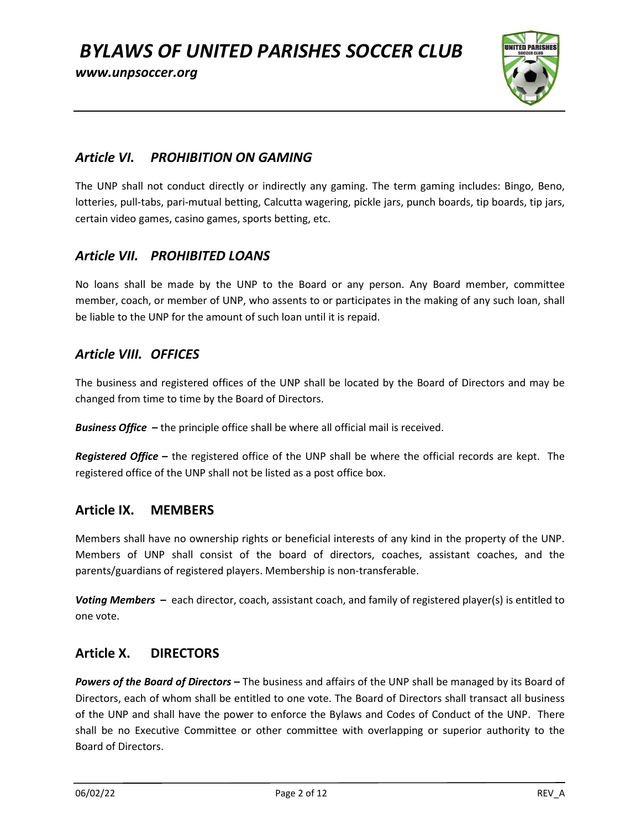www.unpsoccer.org



### Article VI. PROHIBITION ON GAMING

The UNP shall not conduct directly or indirectly any gaming. The term gaming includes: Bingo, Beno, lotteries, pull-tabs, pari-mutual betting, Calcutta wagering, pickle jars, punch boards, tip boards, tip jars, certain video games, casino games, sports betting, etc.

### Article VII. PROHIBITED LOANS

No loans shall be made by the UNP to the Board or any person. Any Board member, committee member, coach, or member of UNP, who assents to or participates in the making of any such loan, shall be liable to the UNP for the amount of such loan until it is repaid.

### Article VIII. OFFICES

The business and registered offices of the UNP shall be located by the Board of Directors and may be changed from time to time by the Board of Directors.

**Business Office** – the principle office shall be where all official mail is received.

Registered Office – the registered office of the UNP shall be where the official records are kept. The registered office of the UNP shall not be listed as a post office box.

### Article IX. MEMBERS

Members shall have no ownership rights or beneficial interests of any kind in the property of the UNP. Members of UNP shall consist of the board of directors, coaches, assistant coaches, and the parents/guardians of registered players. Membership is non-transferable.

Voting Members – each director, coach, assistant coach, and family of registered player(s) is entitled to one vote.

### Article X. DIRECTORS

Powers of the Board of Directors – The business and affairs of the UNP shall be managed by its Board of Directors, each of whom shall be entitled to one vote. The Board of Directors shall transact all business of the UNP and shall have the power to enforce the Bylaws and Codes of Conduct of the UNP. There shall be no Executive Committee or other committee with overlapping or superior authority to the Board of Directors.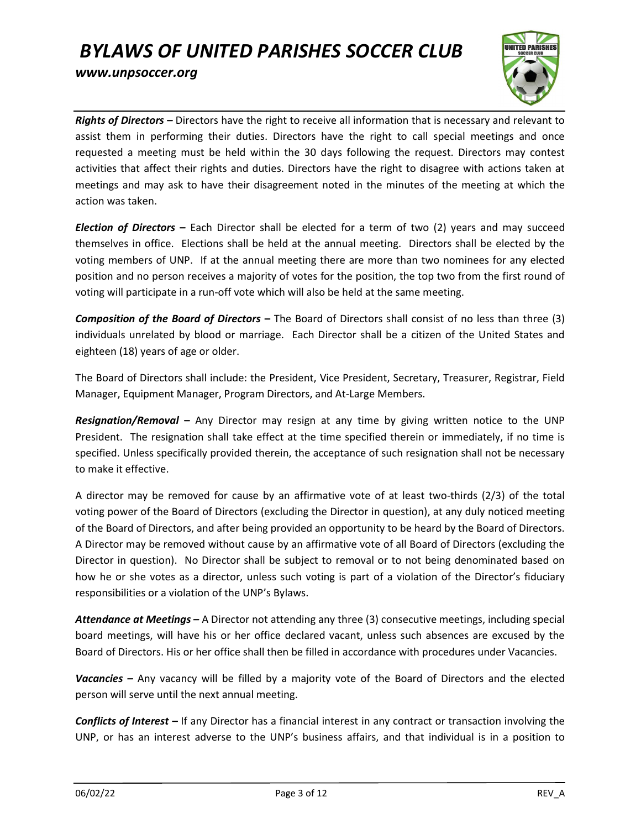

Rights of Directors - Directors have the right to receive all information that is necessary and relevant to assist them in performing their duties. Directors have the right to call special meetings and once requested a meeting must be held within the 30 days following the request. Directors may contest activities that affect their rights and duties. Directors have the right to disagree with actions taken at meetings and may ask to have their disagreement noted in the minutes of the meeting at which the action was taken.

Election of Directors – Each Director shall be elected for a term of two (2) years and may succeed themselves in office. Elections shall be held at the annual meeting. Directors shall be elected by the voting members of UNP. If at the annual meeting there are more than two nominees for any elected position and no person receives a majority of votes for the position, the top two from the first round of voting will participate in a run-off vote which will also be held at the same meeting.

**Composition of the Board of Directors –** The Board of Directors shall consist of no less than three  $(3)$ individuals unrelated by blood or marriage. Each Director shall be a citizen of the United States and eighteen (18) years of age or older.

The Board of Directors shall include: the President, Vice President, Secretary, Treasurer, Registrar, Field Manager, Equipment Manager, Program Directors, and At-Large Members.

**Resignation/Removal –** Any Director may resign at any time by giving written notice to the UNP President. The resignation shall take effect at the time specified therein or immediately, if no time is specified. Unless specifically provided therein, the acceptance of such resignation shall not be necessary to make it effective.

A director may be removed for cause by an affirmative vote of at least two-thirds (2/3) of the total voting power of the Board of Directors (excluding the Director in question), at any duly noticed meeting of the Board of Directors, and after being provided an opportunity to be heard by the Board of Directors. A Director may be removed without cause by an affirmative vote of all Board of Directors (excluding the Director in question). No Director shall be subject to removal or to not being denominated based on how he or she votes as a director, unless such voting is part of a violation of the Director's fiduciary responsibilities or a violation of the UNP's Bylaws.

Attendance at Meetings - A Director not attending any three (3) consecutive meetings, including special board meetings, will have his or her office declared vacant, unless such absences are excused by the Board of Directors. His or her office shall then be filled in accordance with procedures under Vacancies.

Vacancies – Any vacancy will be filled by a majority vote of the Board of Directors and the elected person will serve until the next annual meeting.

Conflicts of Interest – If any Director has a financial interest in any contract or transaction involving the UNP, or has an interest adverse to the UNP's business affairs, and that individual is in a position to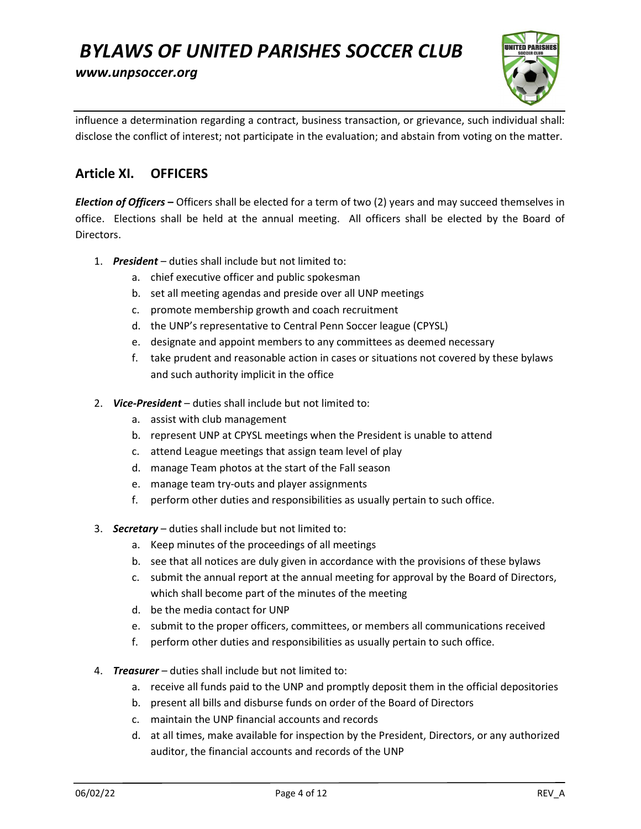www.unpsoccer.org



influence a determination regarding a contract, business transaction, or grievance, such individual shall: disclose the conflict of interest; not participate in the evaluation; and abstain from voting on the matter.

### Article XI. OFFICERS

Election of Officers - Officers shall be elected for a term of two (2) years and may succeed themselves in office. Elections shall be held at the annual meeting. All officers shall be elected by the Board of Directors.

- 1. President duties shall include but not limited to:
	- a. chief executive officer and public spokesman
	- b. set all meeting agendas and preside over all UNP meetings
	- c. promote membership growth and coach recruitment
	- d. the UNP's representative to Central Penn Soccer league (CPYSL)
	- e. designate and appoint members to any committees as deemed necessary
	- f. take prudent and reasonable action in cases or situations not covered by these bylaws and such authority implicit in the office
- 2. Vice-President duties shall include but not limited to:
	- a. assist with club management
	- b. represent UNP at CPYSL meetings when the President is unable to attend
	- c. attend League meetings that assign team level of play
	- d. manage Team photos at the start of the Fall season
	- e. manage team try-outs and player assignments
	- f. perform other duties and responsibilities as usually pertain to such office.
- 3. Secretary duties shall include but not limited to:
	- a. Keep minutes of the proceedings of all meetings
	- b. see that all notices are duly given in accordance with the provisions of these bylaws
	- c. submit the annual report at the annual meeting for approval by the Board of Directors, which shall become part of the minutes of the meeting
	- d. be the media contact for UNP
	- e. submit to the proper officers, committees, or members all communications received
	- f. perform other duties and responsibilities as usually pertain to such office.
- 4. Treasurer duties shall include but not limited to:
	- a. receive all funds paid to the UNP and promptly deposit them in the official depositories
	- b. present all bills and disburse funds on order of the Board of Directors
	- c. maintain the UNP financial accounts and records
	- d. at all times, make available for inspection by the President, Directors, or any authorized auditor, the financial accounts and records of the UNP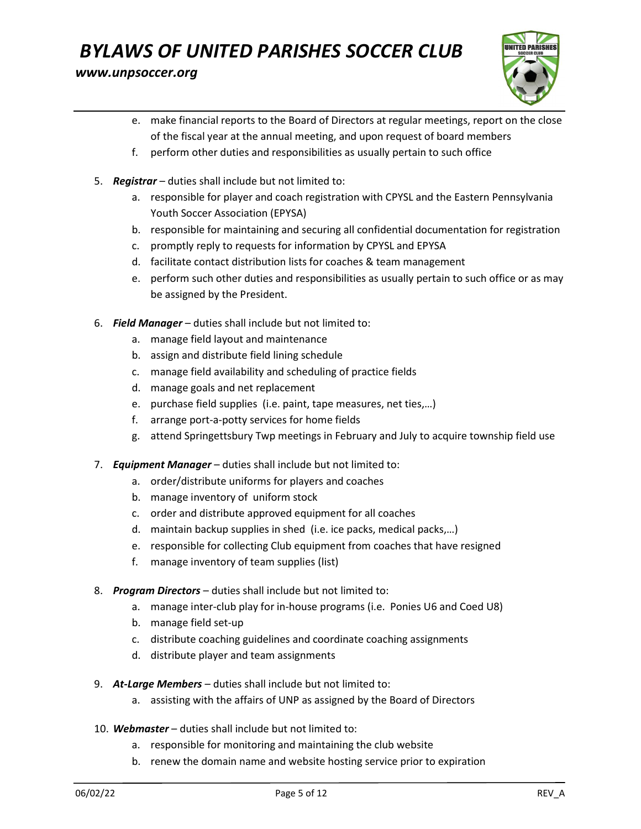#### www.unpsoccer.org



- e. make financial reports to the Board of Directors at regular meetings, report on the close of the fiscal year at the annual meeting, and upon request of board members
- f. perform other duties and responsibilities as usually pertain to such office
- 5. Registrar duties shall include but not limited to:
	- a. responsible for player and coach registration with CPYSL and the Eastern Pennsylvania Youth Soccer Association (EPYSA)
	- b. responsible for maintaining and securing all confidential documentation for registration
	- c. promptly reply to requests for information by CPYSL and EPYSA
	- d. facilitate contact distribution lists for coaches & team management
	- e. perform such other duties and responsibilities as usually pertain to such office or as may be assigned by the President.
- 6. Field Manager  $-$  duties shall include but not limited to:
	- a. manage field layout and maintenance
	- b. assign and distribute field lining schedule
	- c. manage field availability and scheduling of practice fields
	- d. manage goals and net replacement
	- e. purchase field supplies (i.e. paint, tape measures, net ties,…)
	- f. arrange port-a-potty services for home fields
	- g. attend Springettsbury Twp meetings in February and July to acquire township field use
- 7. Equipment Manager duties shall include but not limited to:
	- a. order/distribute uniforms for players and coaches
	- b. manage inventory of uniform stock
	- c. order and distribute approved equipment for all coaches
	- d. maintain backup supplies in shed (i.e. ice packs, medical packs,…)
	- e. responsible for collecting Club equipment from coaches that have resigned
	- f. manage inventory of team supplies (list)
- 8. Program Directors duties shall include but not limited to:
	- a. manage inter-club play for in-house programs (i.e. Ponies U6 and Coed U8)
	- b. manage field set-up
	- c. distribute coaching guidelines and coordinate coaching assignments
	- d. distribute player and team assignments
- 9. At-Large Members duties shall include but not limited to:
	- a. assisting with the affairs of UNP as assigned by the Board of Directors
- 10. Webmaster duties shall include but not limited to:
	- a. responsible for monitoring and maintaining the club website
	- b. renew the domain name and website hosting service prior to expiration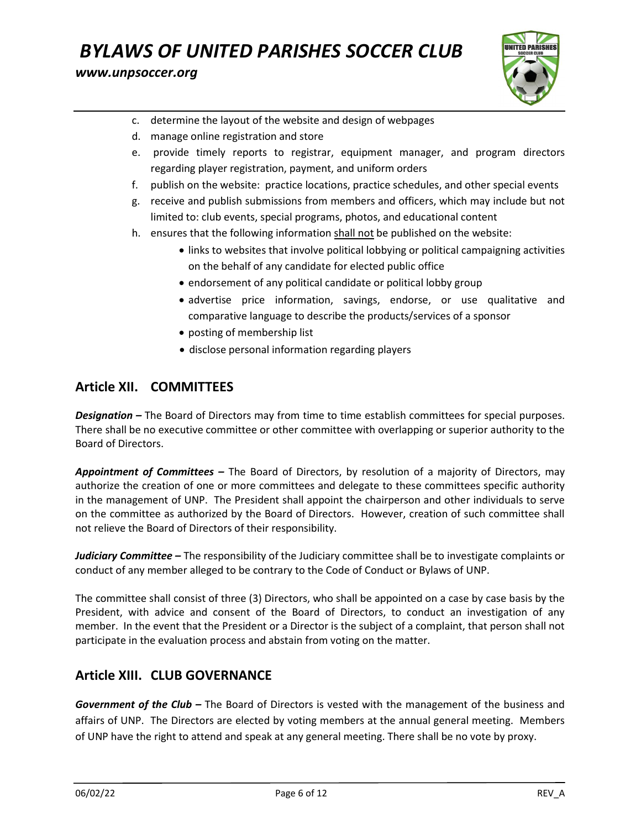#### www.unpsoccer.org



- c. determine the layout of the website and design of webpages
- d. manage online registration and store
- e. provide timely reports to registrar, equipment manager, and program directors regarding player registration, payment, and uniform orders
- f. publish on the website: practice locations, practice schedules, and other special events
- g. receive and publish submissions from members and officers, which may include but not limited to: club events, special programs, photos, and educational content
- h. ensures that the following information shall not be published on the website:
	- links to websites that involve political lobbying or political campaigning activities on the behalf of any candidate for elected public office
	- endorsement of any political candidate or political lobby group
	- advertise price information, savings, endorse, or use qualitative and comparative language to describe the products/services of a sponsor
	- posting of membership list
	- disclose personal information regarding players

### Article XII. COMMITTEES

**Designation –** The Board of Directors may from time to time establish committees for special purposes. There shall be no executive committee or other committee with overlapping or superior authority to the Board of Directors.

Appointment of Committees - The Board of Directors, by resolution of a majority of Directors, may authorize the creation of one or more committees and delegate to these committees specific authority in the management of UNP. The President shall appoint the chairperson and other individuals to serve on the committee as authorized by the Board of Directors. However, creation of such committee shall not relieve the Board of Directors of their responsibility.

Judiciary Committee - The responsibility of the Judiciary committee shall be to investigate complaints or conduct of any member alleged to be contrary to the Code of Conduct or Bylaws of UNP.

The committee shall consist of three (3) Directors, who shall be appointed on a case by case basis by the President, with advice and consent of the Board of Directors, to conduct an investigation of any member. In the event that the President or a Director is the subject of a complaint, that person shall not participate in the evaluation process and abstain from voting on the matter.

### Article XIII. CLUB GOVERNANCE

Government of the Club - The Board of Directors is vested with the management of the business and affairs of UNP. The Directors are elected by voting members at the annual general meeting. Members of UNP have the right to attend and speak at any general meeting. There shall be no vote by proxy.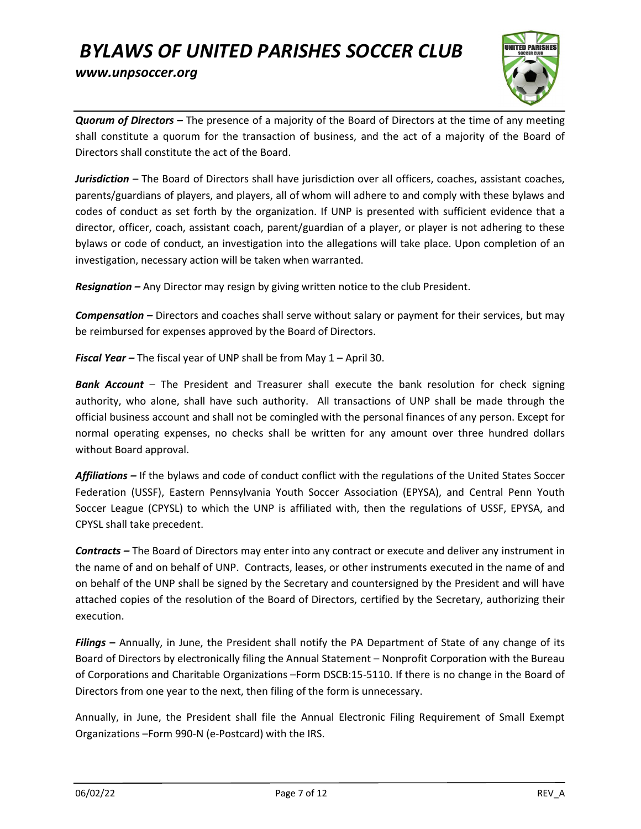

Quorum of Directors - The presence of a majority of the Board of Directors at the time of any meeting shall constitute a quorum for the transaction of business, and the act of a majority of the Board of Directors shall constitute the act of the Board.

Jurisdiction – The Board of Directors shall have jurisdiction over all officers, coaches, assistant coaches, parents/guardians of players, and players, all of whom will adhere to and comply with these bylaws and codes of conduct as set forth by the organization. If UNP is presented with sufficient evidence that a director, officer, coach, assistant coach, parent/guardian of a player, or player is not adhering to these bylaws or code of conduct, an investigation into the allegations will take place. Upon completion of an investigation, necessary action will be taken when warranted.

Resignation – Any Director may resign by giving written notice to the club President.

**Compensation** – Directors and coaches shall serve without salary or payment for their services, but may be reimbursed for expenses approved by the Board of Directors.

**Fiscal Year –** The fiscal year of UNP shall be from May  $1 -$  April 30.

**Bank Account** – The President and Treasurer shall execute the bank resolution for check signing authority, who alone, shall have such authority. All transactions of UNP shall be made through the official business account and shall not be comingled with the personal finances of any person. Except for normal operating expenses, no checks shall be written for any amount over three hundred dollars without Board approval.

Affiliations – If the bylaws and code of conduct conflict with the regulations of the United States Soccer Federation (USSF), Eastern Pennsylvania Youth Soccer Association (EPYSA), and Central Penn Youth Soccer League (CPYSL) to which the UNP is affiliated with, then the regulations of USSF, EPYSA, and CPYSL shall take precedent.

Contracts – The Board of Directors may enter into any contract or execute and deliver any instrument in the name of and on behalf of UNP. Contracts, leases, or other instruments executed in the name of and on behalf of the UNP shall be signed by the Secretary and countersigned by the President and will have attached copies of the resolution of the Board of Directors, certified by the Secretary, authorizing their execution.

Filings - Annually, in June, the President shall notify the PA Department of State of any change of its Board of Directors by electronically filing the Annual Statement – Nonprofit Corporation with the Bureau of Corporations and Charitable Organizations –Form DSCB:15-5110. If there is no change in the Board of Directors from one year to the next, then filing of the form is unnecessary.

Annually, in June, the President shall file the Annual Electronic Filing Requirement of Small Exempt Organizations –Form 990-N (e-Postcard) with the IRS.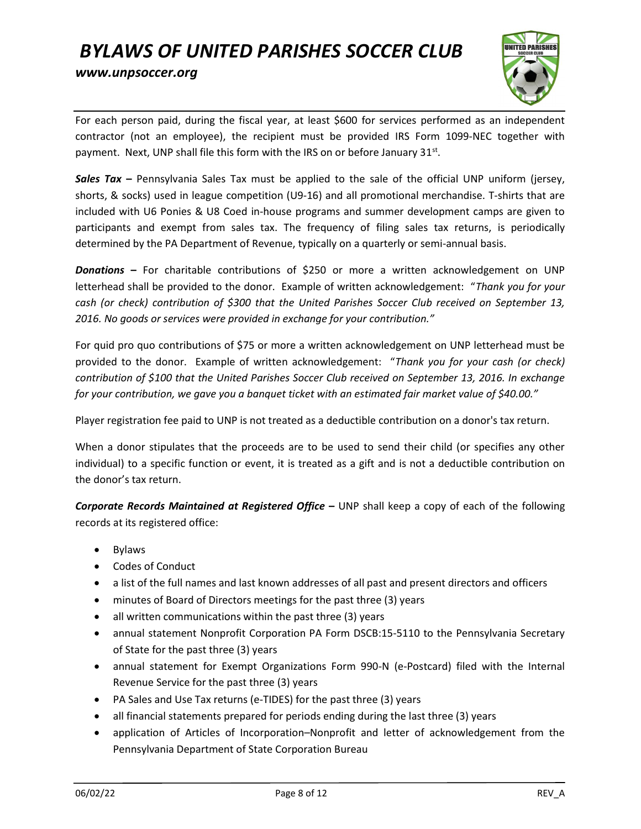

For each person paid, during the fiscal year, at least \$600 for services performed as an independent contractor (not an employee), the recipient must be provided IRS Form 1099-NEC together with payment. Next, UNP shall file this form with the IRS on or before January 31st.

**Sales Tax** – Pennsylvania Sales Tax must be applied to the sale of the official UNP uniform (jersey, shorts, & socks) used in league competition (U9-16) and all promotional merchandise. T-shirts that are included with U6 Ponies & U8 Coed in-house programs and summer development camps are given to participants and exempt from sales tax. The frequency of filing sales tax returns, is periodically determined by the PA Department of Revenue, typically on a quarterly or semi-annual basis.

**Donations –** For charitable contributions of \$250 or more a written acknowledgement on UNP letterhead shall be provided to the donor. Example of written acknowledgement: "Thank you for your cash (or check) contribution of \$300 that the United Parishes Soccer Club received on September 13, 2016. No goods or services were provided in exchange for your contribution."

For quid pro quo contributions of \$75 or more a written acknowledgement on UNP letterhead must be provided to the donor. Example of written acknowledgement: "Thank you for your cash (or check) contribution of \$100 that the United Parishes Soccer Club received on September 13, 2016. In exchange for your contribution, we gave you a banquet ticket with an estimated fair market value of \$40.00."

Player registration fee paid to UNP is not treated as a deductible contribution on a donor's tax return.

When a donor stipulates that the proceeds are to be used to send their child (or specifies any other individual) to a specific function or event, it is treated as a gift and is not a deductible contribution on the donor's tax return.

Corporate Records Maintained at Registered Office - UNP shall keep a copy of each of the following records at its registered office:

- Bylaws
- Codes of Conduct
- a list of the full names and last known addresses of all past and present directors and officers
- minutes of Board of Directors meetings for the past three (3) years
- all written communications within the past three (3) years
- annual statement Nonprofit Corporation PA Form DSCB:15-5110 to the Pennsylvania Secretary of State for the past three (3) years
- annual statement for Exempt Organizations Form 990-N (e-Postcard) filed with the Internal Revenue Service for the past three (3) years
- PA Sales and Use Tax returns (e-TIDES) for the past three (3) years
- all financial statements prepared for periods ending during the last three (3) years
- application of Articles of Incorporation–Nonprofit and letter of acknowledgement from the Pennsylvania Department of State Corporation Bureau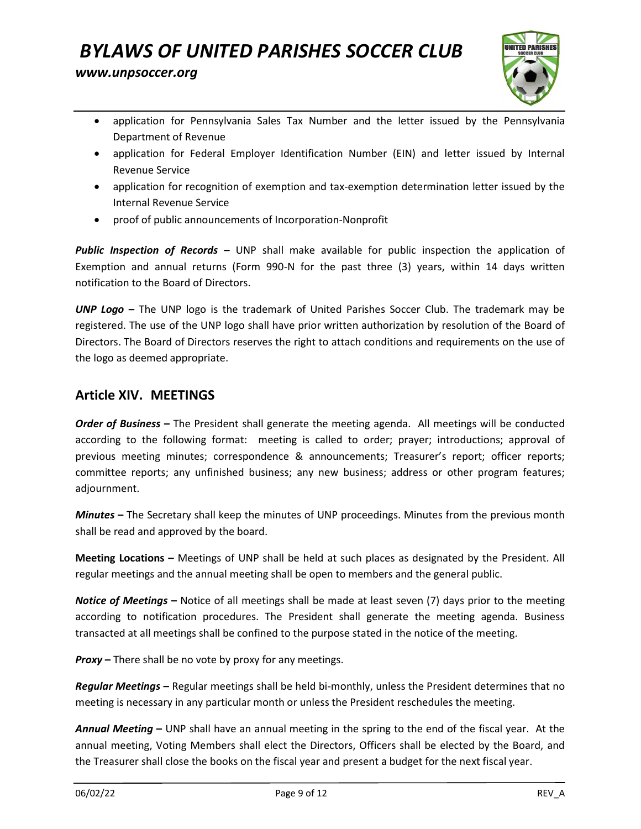

- application for Pennsylvania Sales Tax Number and the letter issued by the Pennsylvania Department of Revenue
- application for Federal Employer Identification Number (EIN) and letter issued by Internal Revenue Service
- application for recognition of exemption and tax-exemption determination letter issued by the Internal Revenue Service
- proof of public announcements of Incorporation-Nonprofit

**Public Inspection of Records –** UNP shall make available for public inspection the application of Exemption and annual returns (Form 990-N for the past three (3) years, within 14 days written notification to the Board of Directors.

UNP Logo – The UNP logo is the trademark of United Parishes Soccer Club. The trademark may be registered. The use of the UNP logo shall have prior written authorization by resolution of the Board of Directors. The Board of Directors reserves the right to attach conditions and requirements on the use of the logo as deemed appropriate.

### Article XIV. MEETINGS

Order of Business - The President shall generate the meeting agenda. All meetings will be conducted according to the following format: meeting is called to order; prayer; introductions; approval of previous meeting minutes; correspondence & announcements; Treasurer's report; officer reports; committee reports; any unfinished business; any new business; address or other program features; adjournment.

Minutes - The Secretary shall keep the minutes of UNP proceedings. Minutes from the previous month shall be read and approved by the board.

Meeting Locations – Meetings of UNP shall be held at such places as designated by the President. All regular meetings and the annual meeting shall be open to members and the general public.

Notice of Meetings – Notice of all meetings shall be made at least seven (7) days prior to the meeting according to notification procedures. The President shall generate the meeting agenda. Business transacted at all meetings shall be confined to the purpose stated in the notice of the meeting.

**Proxy** – There shall be no vote by proxy for any meetings.

Regular Meetings - Regular meetings shall be held bi-monthly, unless the President determines that no meeting is necessary in any particular month or unless the President reschedules the meeting.

Annual Meeting – UNP shall have an annual meeting in the spring to the end of the fiscal year. At the annual meeting, Voting Members shall elect the Directors, Officers shall be elected by the Board, and the Treasurer shall close the books on the fiscal year and present a budget for the next fiscal year.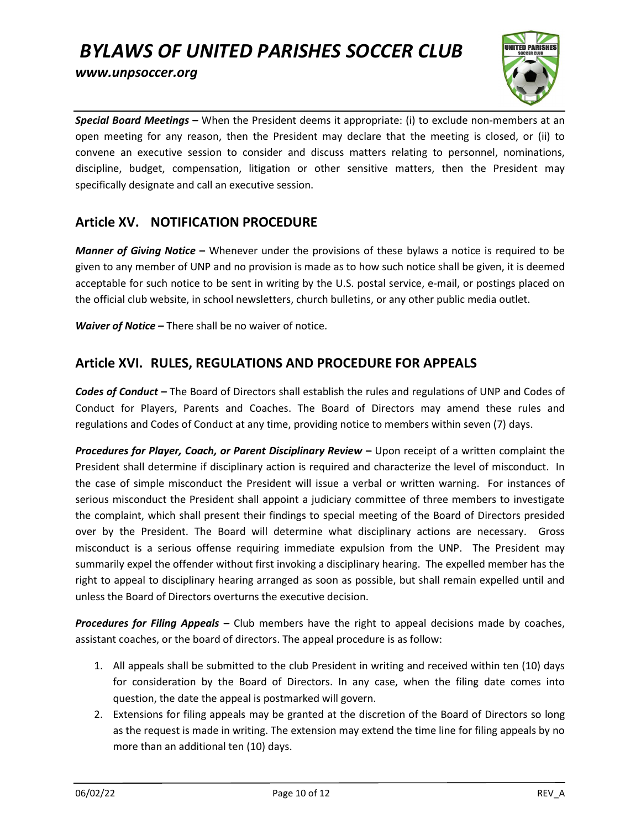www.unpsoccer.org



Special Board Meetings - When the President deems it appropriate: (i) to exclude non-members at an open meeting for any reason, then the President may declare that the meeting is closed, or (ii) to convene an executive session to consider and discuss matters relating to personnel, nominations, discipline, budget, compensation, litigation or other sensitive matters, then the President may specifically designate and call an executive session.

### Article XV. NOTIFICATION PROCEDURE

Manner of Giving Notice – Whenever under the provisions of these bylaws a notice is required to be given to any member of UNP and no provision is made as to how such notice shall be given, it is deemed acceptable for such notice to be sent in writing by the U.S. postal service, e-mail, or postings placed on the official club website, in school newsletters, church bulletins, or any other public media outlet.

**Waiver of Notice –** There shall be no waiver of notice.

### Article XVI. RULES, REGULATIONS AND PROCEDURE FOR APPEALS

Codes of Conduct - The Board of Directors shall establish the rules and regulations of UNP and Codes of Conduct for Players, Parents and Coaches. The Board of Directors may amend these rules and regulations and Codes of Conduct at any time, providing notice to members within seven (7) days.

Procedures for Player, Coach, or Parent Disciplinary Review – Upon receipt of a written complaint the President shall determine if disciplinary action is required and characterize the level of misconduct. In the case of simple misconduct the President will issue a verbal or written warning. For instances of serious misconduct the President shall appoint a judiciary committee of three members to investigate the complaint, which shall present their findings to special meeting of the Board of Directors presided over by the President. The Board will determine what disciplinary actions are necessary. Gross misconduct is a serious offense requiring immediate expulsion from the UNP. The President may summarily expel the offender without first invoking a disciplinary hearing. The expelled member has the right to appeal to disciplinary hearing arranged as soon as possible, but shall remain expelled until and unless the Board of Directors overturns the executive decision.

**Procedures for Filing Appeals –** Club members have the right to appeal decisions made by coaches, assistant coaches, or the board of directors. The appeal procedure is as follow:

- 1. All appeals shall be submitted to the club President in writing and received within ten (10) days for consideration by the Board of Directors. In any case, when the filing date comes into question, the date the appeal is postmarked will govern.
- 2. Extensions for filing appeals may be granted at the discretion of the Board of Directors so long as the request is made in writing. The extension may extend the time line for filing appeals by no more than an additional ten (10) days.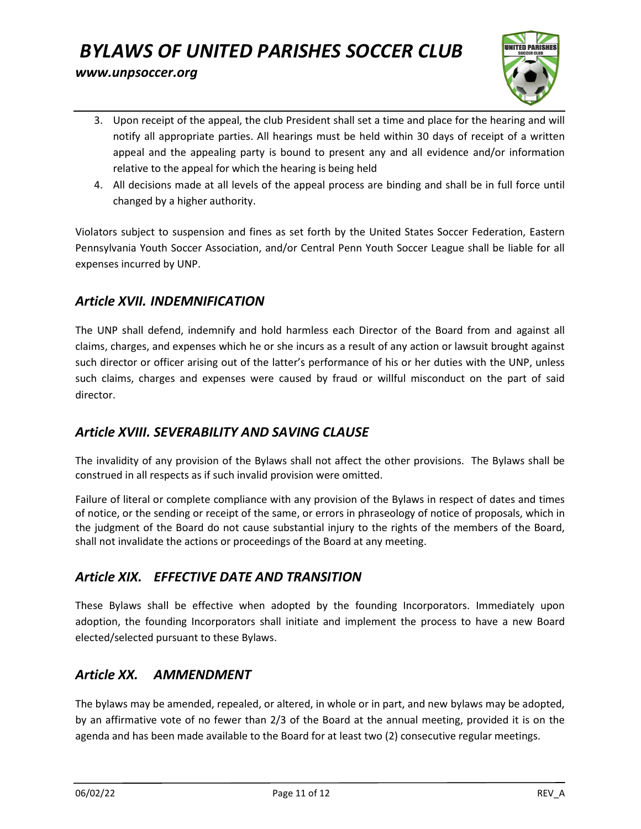

- 3. Upon receipt of the appeal, the club President shall set a time and place for the hearing and will notify all appropriate parties. All hearings must be held within 30 days of receipt of a written appeal and the appealing party is bound to present any and all evidence and/or information relative to the appeal for which the hearing is being held
- 4. All decisions made at all levels of the appeal process are binding and shall be in full force until changed by a higher authority.

Violators subject to suspension and fines as set forth by the United States Soccer Federation, Eastern Pennsylvania Youth Soccer Association, and/or Central Penn Youth Soccer League shall be liable for all expenses incurred by UNP.

### Article XVII. INDEMNIFICATION

The UNP shall defend, indemnify and hold harmless each Director of the Board from and against all claims, charges, and expenses which he or she incurs as a result of any action or lawsuit brought against such director or officer arising out of the latter's performance of his or her duties with the UNP, unless such claims, charges and expenses were caused by fraud or willful misconduct on the part of said director.

### Article XVIII. SEVERABILITY AND SAVING CLAUSE

The invalidity of any provision of the Bylaws shall not affect the other provisions. The Bylaws shall be construed in all respects as if such invalid provision were omitted.

Failure of literal or complete compliance with any provision of the Bylaws in respect of dates and times of notice, or the sending or receipt of the same, or errors in phraseology of notice of proposals, which in the judgment of the Board do not cause substantial injury to the rights of the members of the Board, shall not invalidate the actions or proceedings of the Board at any meeting.

## Article XIX. EFFECTIVE DATE AND TRANSITION

These Bylaws shall be effective when adopted by the founding Incorporators. Immediately upon adoption, the founding Incorporators shall initiate and implement the process to have a new Board elected/selected pursuant to these Bylaws.

## Article XX. AMMENDMENT

The bylaws may be amended, repealed, or altered, in whole or in part, and new bylaws may be adopted, by an affirmative vote of no fewer than 2/3 of the Board at the annual meeting, provided it is on the agenda and has been made available to the Board for at least two (2) consecutive regular meetings.